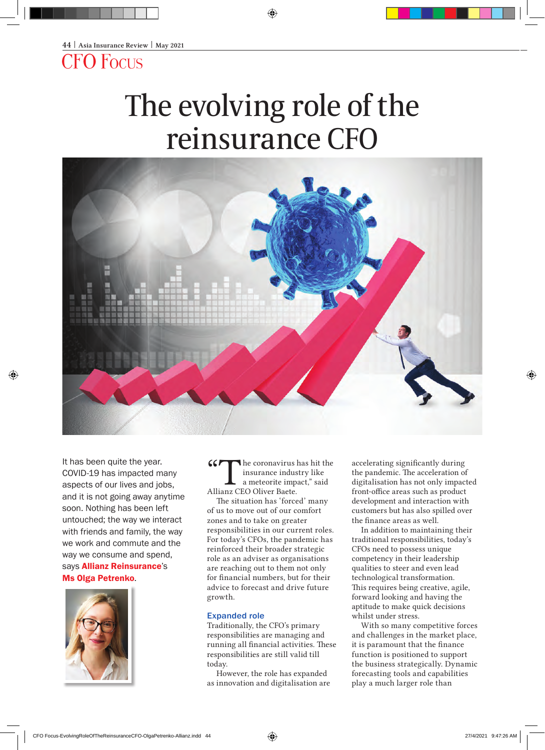CFO Focus

# The evolving role of the reinsurance CFO



It has been quite the year. COVID-19 has impacted many aspects of our lives and jobs, and it is not going away anytime soon. Nothing has been left untouched; the way we interact with friends and family, the way we work and commute and the way we consume and spend, says **Allianz Reinsurance's** Ms Olga Petrenko.



The coronavirus has hit the insurance industry like a meteorite impact," said Allianz CEO Oliver Baete.

The situation has 'forced' many of us to move out of our comfort zones and to take on greater responsibilities in our current roles. For today's CFOs, the pandemic has reinforced their broader strategic role as an adviser as organisations are reaching out to them not only for financial numbers, but for their advice to forecast and drive future growth.

## Expanded role

Traditionally, the CFO's primary responsibilities are managing and running all financial activities. These responsibilities are still valid till today.

However, the role has expanded as innovation and digitalisation are accelerating significantly during the pandemic. The acceleration of digitalisation has not only impacted front-office areas such as product development and interaction with customers but has also spilled over the finance areas as well.

In addition to maintaining their traditional responsibilities, today's CFOs need to possess unique competency in their leadership qualities to steer and even lead technological transformation. This requires being creative, agile, forward looking and having the aptitude to make quick decisions whilst under stress.

With so many competitive forces and challenges in the market place, it is paramount that the finance function is positioned to support the business strategically. Dynamic forecasting tools and capabilities play a much larger role than